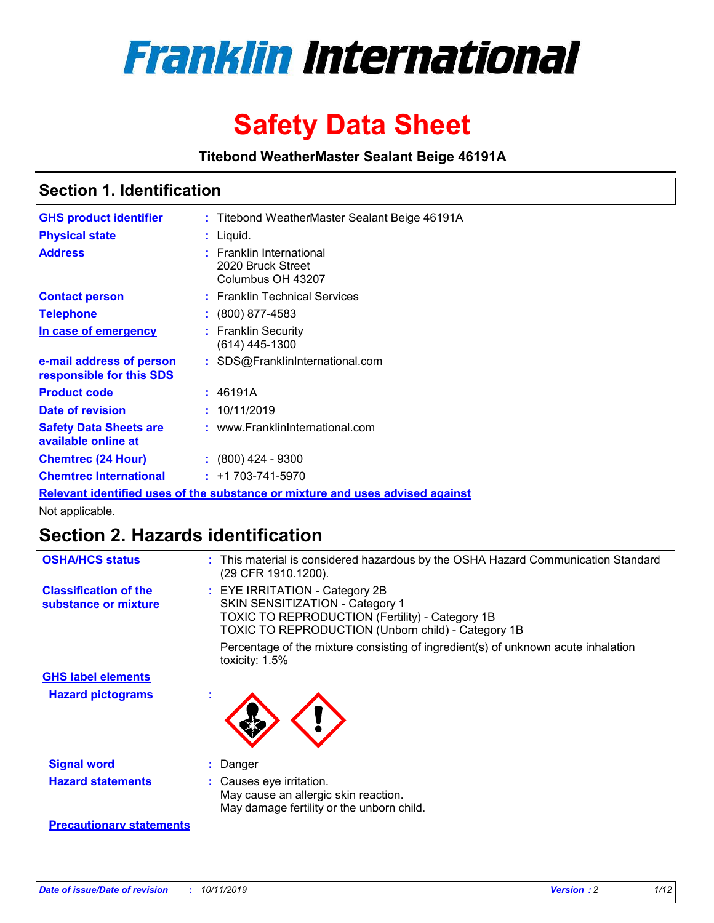

# **Safety Data Sheet**

**Titebond WeatherMaster Sealant Beige 46191A**

# **Section 1. Identification**

| <b>GHS product identifier</b>                        | : Titebond WeatherMaster Sealant Beige 46191A                                 |
|------------------------------------------------------|-------------------------------------------------------------------------------|
| <b>Physical state</b>                                | : Liquid.                                                                     |
| <b>Address</b>                                       | <b>Franklin International</b><br>2020 Bruck Street<br>Columbus OH 43207       |
| <b>Contact person</b>                                | : Franklin Technical Services                                                 |
| <b>Telephone</b>                                     | : (800) 877-4583                                                              |
| In case of emergency                                 | : Franklin Security<br>$(614)$ 445-1300                                       |
| e-mail address of person<br>responsible for this SDS | : SDS@FranklinInternational.com                                               |
| <b>Product code</b>                                  | : 46191A                                                                      |
| Date of revision                                     | : 10/11/2019                                                                  |
| <b>Safety Data Sheets are</b><br>available online at | : www.FranklinInternational.com                                               |
| <b>Chemtrec (24 Hour)</b>                            | $\div$ (800) 424 - 9300                                                       |
| <b>Chemtrec International</b>                        | $: +1703 - 741 - 5970$                                                        |
|                                                      | Relevant identified uses of the substance or mixture and uses advised against |

Not applicable.

# **Section 2. Hazards identification**

| <b>OSHA/HCS status</b>                               | : This material is considered hazardous by the OSHA Hazard Communication Standard<br>(29 CFR 1910.1200).                                                                          |
|------------------------------------------------------|-----------------------------------------------------------------------------------------------------------------------------------------------------------------------------------|
| <b>Classification of the</b><br>substance or mixture | : EYE IRRITATION - Category 2B<br>SKIN SENSITIZATION - Category 1<br><b>TOXIC TO REPRODUCTION (Fertility) - Category 1B</b><br>TOXIC TO REPRODUCTION (Unborn child) - Category 1B |
|                                                      | Percentage of the mixture consisting of ingredient(s) of unknown acute inhalation<br>toxicity: $1.5\%$                                                                            |
| <b>GHS label elements</b>                            |                                                                                                                                                                                   |
| <b>Hazard pictograms</b>                             |                                                                                                                                                                                   |
| <b>Signal word</b>                                   | : Danger                                                                                                                                                                          |
| <b>Hazard statements</b>                             | : Causes eye irritation.<br>May cause an allergic skin reaction.<br>May damage fertility or the unborn child.                                                                     |
| <b>Precautionary statements</b>                      |                                                                                                                                                                                   |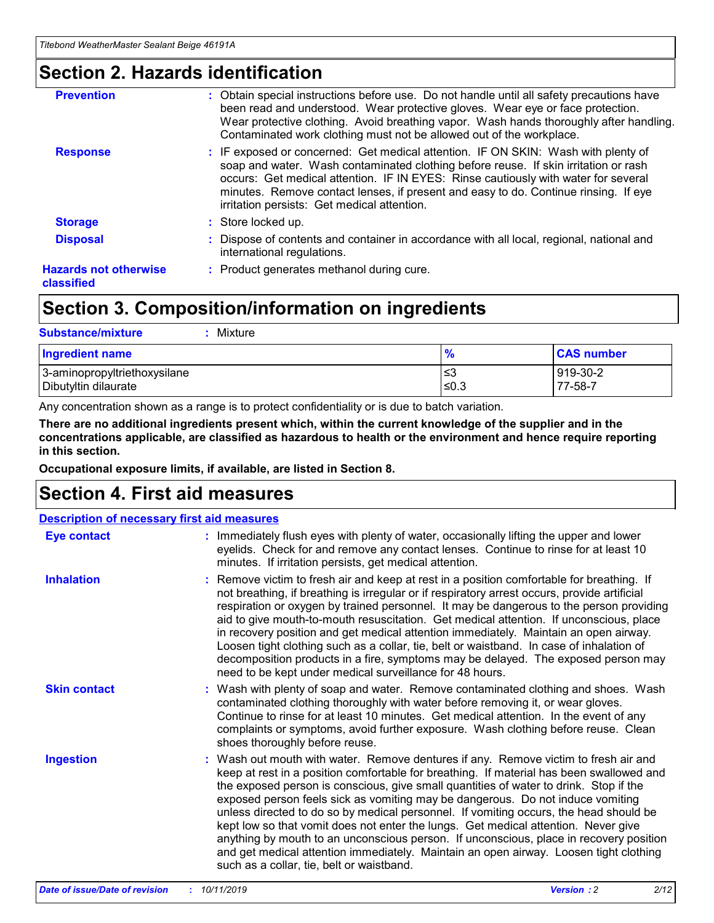# **Section 2. Hazards identification**

| <b>Prevention</b>                          | : Obtain special instructions before use. Do not handle until all safety precautions have<br>been read and understood. Wear protective gloves. Wear eye or face protection.<br>Wear protective clothing. Avoid breathing vapor. Wash hands thoroughly after handling.<br>Contaminated work clothing must not be allowed out of the workplace.                                                        |
|--------------------------------------------|------------------------------------------------------------------------------------------------------------------------------------------------------------------------------------------------------------------------------------------------------------------------------------------------------------------------------------------------------------------------------------------------------|
| <b>Response</b>                            | : IF exposed or concerned: Get medical attention. IF ON SKIN: Wash with plenty of<br>soap and water. Wash contaminated clothing before reuse. If skin irritation or rash<br>occurs: Get medical attention. IF IN EYES: Rinse cautiously with water for several<br>minutes. Remove contact lenses, if present and easy to do. Continue rinsing. If eye<br>irritation persists: Get medical attention. |
| <b>Storage</b>                             | : Store locked up.                                                                                                                                                                                                                                                                                                                                                                                   |
| <b>Disposal</b>                            | : Dispose of contents and container in accordance with all local, regional, national and<br>international regulations.                                                                                                                                                                                                                                                                               |
| <b>Hazards not otherwise</b><br>classified | : Product generates methanol during cure.                                                                                                                                                                                                                                                                                                                                                            |
|                                            |                                                                                                                                                                                                                                                                                                                                                                                                      |

# **Section 3. Composition/information on ingredients**

| <b>Substance/mixture</b><br>Mixture                  |                   |                     |
|------------------------------------------------------|-------------------|---------------------|
| <b>Ingredient name</b>                               | $\frac{9}{6}$     | <b>CAS number</b>   |
| 3-aminopropyltriethoxysilane<br>Dibutyltin dilaurate | l≤3<br>$\leq 0.3$ | 919-30-2<br>77-58-7 |

Any concentration shown as a range is to protect confidentiality or is due to batch variation.

**There are no additional ingredients present which, within the current knowledge of the supplier and in the concentrations applicable, are classified as hazardous to health or the environment and hence require reporting in this section.**

**Occupational exposure limits, if available, are listed in Section 8.**

# **Section 4. First aid measures**

| <b>Description of necessary first aid measures</b> |                                                                                                                                                                                                                                                                                                                                                                                                                                                                                                                                                                                                                                                                                                                                                                           |  |  |  |
|----------------------------------------------------|---------------------------------------------------------------------------------------------------------------------------------------------------------------------------------------------------------------------------------------------------------------------------------------------------------------------------------------------------------------------------------------------------------------------------------------------------------------------------------------------------------------------------------------------------------------------------------------------------------------------------------------------------------------------------------------------------------------------------------------------------------------------------|--|--|--|
| <b>Eye contact</b>                                 | : Immediately flush eyes with plenty of water, occasionally lifting the upper and lower<br>eyelids. Check for and remove any contact lenses. Continue to rinse for at least 10<br>minutes. If irritation persists, get medical attention.                                                                                                                                                                                                                                                                                                                                                                                                                                                                                                                                 |  |  |  |
| <b>Inhalation</b>                                  | : Remove victim to fresh air and keep at rest in a position comfortable for breathing. If<br>not breathing, if breathing is irregular or if respiratory arrest occurs, provide artificial<br>respiration or oxygen by trained personnel. It may be dangerous to the person providing<br>aid to give mouth-to-mouth resuscitation. Get medical attention. If unconscious, place<br>in recovery position and get medical attention immediately. Maintain an open airway.<br>Loosen tight clothing such as a collar, tie, belt or waistband. In case of inhalation of<br>decomposition products in a fire, symptoms may be delayed. The exposed person may<br>need to be kept under medical surveillance for 48 hours.                                                       |  |  |  |
| <b>Skin contact</b>                                | : Wash with plenty of soap and water. Remove contaminated clothing and shoes. Wash<br>contaminated clothing thoroughly with water before removing it, or wear gloves.<br>Continue to rinse for at least 10 minutes. Get medical attention. In the event of any<br>complaints or symptoms, avoid further exposure. Wash clothing before reuse. Clean<br>shoes thoroughly before reuse.                                                                                                                                                                                                                                                                                                                                                                                     |  |  |  |
| <b>Ingestion</b>                                   | : Wash out mouth with water. Remove dentures if any. Remove victim to fresh air and<br>keep at rest in a position comfortable for breathing. If material has been swallowed and<br>the exposed person is conscious, give small quantities of water to drink. Stop if the<br>exposed person feels sick as vomiting may be dangerous. Do not induce vomiting<br>unless directed to do so by medical personnel. If vomiting occurs, the head should be<br>kept low so that vomit does not enter the lungs. Get medical attention. Never give<br>anything by mouth to an unconscious person. If unconscious, place in recovery position<br>and get medical attention immediately. Maintain an open airway. Loosen tight clothing<br>such as a collar, tie, belt or waistband. |  |  |  |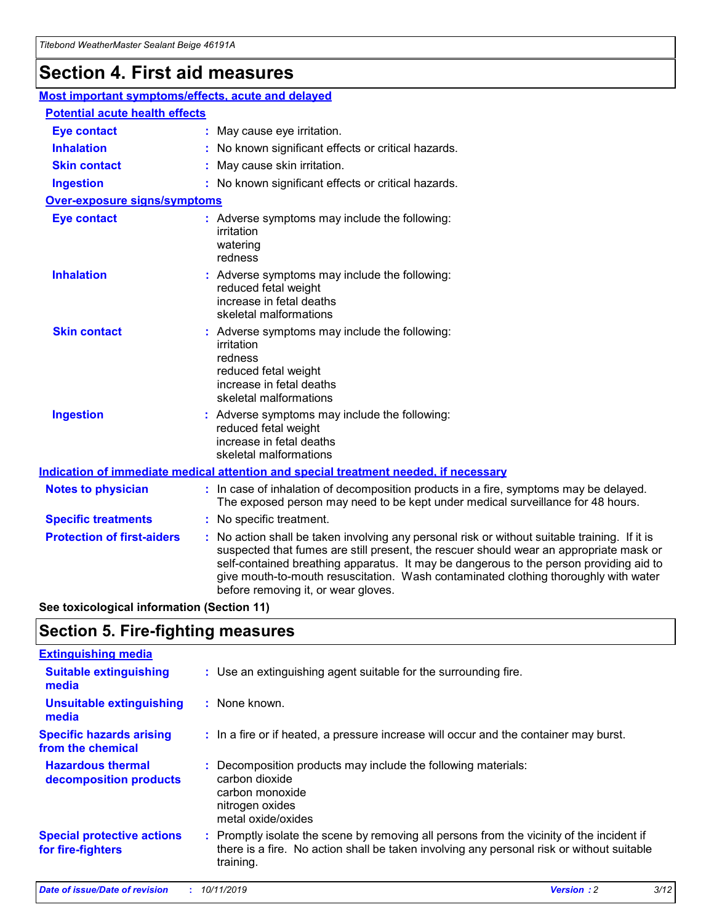# **Section 4. First aid measures**

| Most important symptoms/effects, acute and delayed |  |                                                                                                                                                                                                                                                                                                                                                                                                                 |  |  |
|----------------------------------------------------|--|-----------------------------------------------------------------------------------------------------------------------------------------------------------------------------------------------------------------------------------------------------------------------------------------------------------------------------------------------------------------------------------------------------------------|--|--|
| <b>Potential acute health effects</b>              |  |                                                                                                                                                                                                                                                                                                                                                                                                                 |  |  |
| <b>Eye contact</b>                                 |  | : May cause eye irritation.                                                                                                                                                                                                                                                                                                                                                                                     |  |  |
| <b>Inhalation</b>                                  |  | : No known significant effects or critical hazards.                                                                                                                                                                                                                                                                                                                                                             |  |  |
| <b>Skin contact</b>                                |  | : May cause skin irritation.                                                                                                                                                                                                                                                                                                                                                                                    |  |  |
| <b>Ingestion</b>                                   |  | : No known significant effects or critical hazards.                                                                                                                                                                                                                                                                                                                                                             |  |  |
| Over-exposure signs/symptoms                       |  |                                                                                                                                                                                                                                                                                                                                                                                                                 |  |  |
| <b>Eye contact</b>                                 |  | : Adverse symptoms may include the following:<br>irritation<br>watering<br>redness                                                                                                                                                                                                                                                                                                                              |  |  |
| <b>Inhalation</b>                                  |  | : Adverse symptoms may include the following:<br>reduced fetal weight<br>increase in fetal deaths<br>skeletal malformations                                                                                                                                                                                                                                                                                     |  |  |
| <b>Skin contact</b>                                |  | : Adverse symptoms may include the following:<br>irritation<br>redness<br>reduced fetal weight<br>increase in fetal deaths<br>skeletal malformations                                                                                                                                                                                                                                                            |  |  |
| <b>Ingestion</b>                                   |  | : Adverse symptoms may include the following:<br>reduced fetal weight<br>increase in fetal deaths<br>skeletal malformations                                                                                                                                                                                                                                                                                     |  |  |
|                                                    |  | <b>Indication of immediate medical attention and special treatment needed, if necessary</b>                                                                                                                                                                                                                                                                                                                     |  |  |
| <b>Notes to physician</b>                          |  | : In case of inhalation of decomposition products in a fire, symptoms may be delayed.<br>The exposed person may need to be kept under medical surveillance for 48 hours.                                                                                                                                                                                                                                        |  |  |
| <b>Specific treatments</b>                         |  | : No specific treatment.                                                                                                                                                                                                                                                                                                                                                                                        |  |  |
| <b>Protection of first-aiders</b>                  |  | : No action shall be taken involving any personal risk or without suitable training. If it is<br>suspected that fumes are still present, the rescuer should wear an appropriate mask or<br>self-contained breathing apparatus. It may be dangerous to the person providing aid to<br>give mouth-to-mouth resuscitation. Wash contaminated clothing thoroughly with water<br>before removing it, or wear gloves. |  |  |

**See toxicological information (Section 11)**

# **Section 5. Fire-fighting measures**

| <b>Extinguishing media</b>                             |                                                                                                                                                                                                     |
|--------------------------------------------------------|-----------------------------------------------------------------------------------------------------------------------------------------------------------------------------------------------------|
| <b>Suitable extinguishing</b><br>media                 | : Use an extinguishing agent suitable for the surrounding fire.                                                                                                                                     |
| <b>Unsuitable extinguishing</b><br>media               | : None known.                                                                                                                                                                                       |
| <b>Specific hazards arising</b><br>from the chemical   | : In a fire or if heated, a pressure increase will occur and the container may burst.                                                                                                               |
| <b>Hazardous thermal</b><br>decomposition products     | : Decomposition products may include the following materials:<br>carbon dioxide<br>carbon monoxide<br>nitrogen oxides<br>metal oxide/oxides                                                         |
| <b>Special protective actions</b><br>for fire-fighters | : Promptly isolate the scene by removing all persons from the vicinity of the incident if<br>there is a fire. No action shall be taken involving any personal risk or without suitable<br>training. |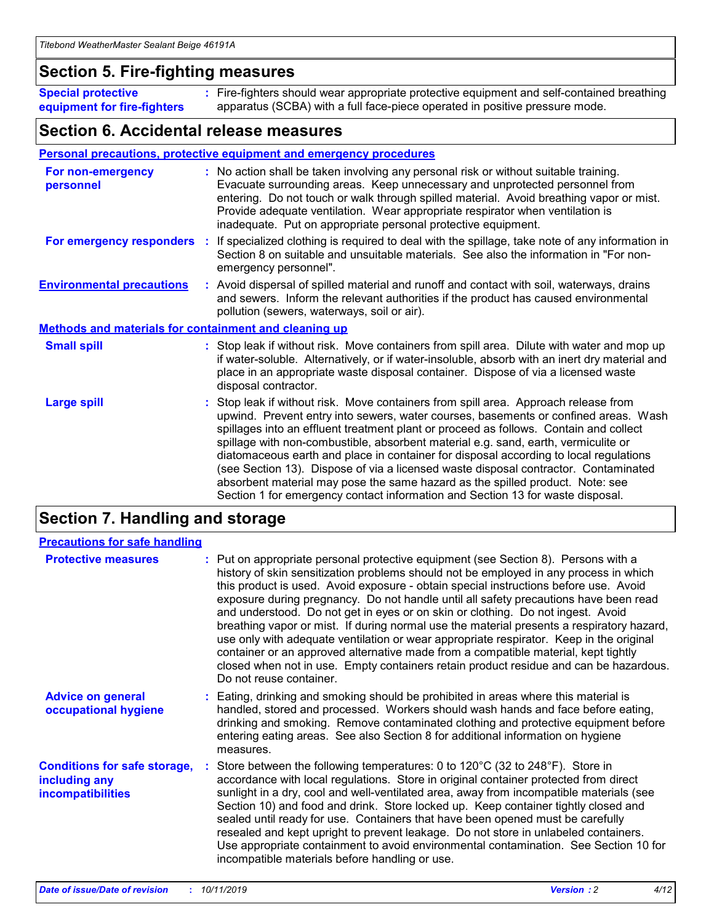# **Section 5. Fire-fighting measures**

**Special protective equipment for fire-fighters** Fire-fighters should wear appropriate protective equipment and self-contained breathing **:** apparatus (SCBA) with a full face-piece operated in positive pressure mode.

## **Section 6. Accidental release measures**

## **Personal precautions, protective equipment and emergency procedures**

| For non-emergency<br>personnel                               | : No action shall be taken involving any personal risk or without suitable training.<br>Evacuate surrounding areas. Keep unnecessary and unprotected personnel from<br>entering. Do not touch or walk through spilled material. Avoid breathing vapor or mist.<br>Provide adequate ventilation. Wear appropriate respirator when ventilation is<br>inadequate. Put on appropriate personal protective equipment.                                                                                                                                                                                                                                                                                             |
|--------------------------------------------------------------|--------------------------------------------------------------------------------------------------------------------------------------------------------------------------------------------------------------------------------------------------------------------------------------------------------------------------------------------------------------------------------------------------------------------------------------------------------------------------------------------------------------------------------------------------------------------------------------------------------------------------------------------------------------------------------------------------------------|
|                                                              | For emergency responders : If specialized clothing is required to deal with the spillage, take note of any information in<br>Section 8 on suitable and unsuitable materials. See also the information in "For non-<br>emergency personnel".                                                                                                                                                                                                                                                                                                                                                                                                                                                                  |
| <b>Environmental precautions</b>                             | : Avoid dispersal of spilled material and runoff and contact with soil, waterways, drains<br>and sewers. Inform the relevant authorities if the product has caused environmental<br>pollution (sewers, waterways, soil or air).                                                                                                                                                                                                                                                                                                                                                                                                                                                                              |
| <b>Methods and materials for containment and cleaning up</b> |                                                                                                                                                                                                                                                                                                                                                                                                                                                                                                                                                                                                                                                                                                              |
| <b>Small spill</b>                                           | : Stop leak if without risk. Move containers from spill area. Dilute with water and mop up<br>if water-soluble. Alternatively, or if water-insoluble, absorb with an inert dry material and<br>place in an appropriate waste disposal container. Dispose of via a licensed waste<br>disposal contractor.                                                                                                                                                                                                                                                                                                                                                                                                     |
| <b>Large spill</b>                                           | : Stop leak if without risk. Move containers from spill area. Approach release from<br>upwind. Prevent entry into sewers, water courses, basements or confined areas. Wash<br>spillages into an effluent treatment plant or proceed as follows. Contain and collect<br>spillage with non-combustible, absorbent material e.g. sand, earth, vermiculite or<br>diatomaceous earth and place in container for disposal according to local regulations<br>(see Section 13). Dispose of via a licensed waste disposal contractor. Contaminated<br>absorbent material may pose the same hazard as the spilled product. Note: see<br>Section 1 for emergency contact information and Section 13 for waste disposal. |

# **Section 7. Handling and storage**

| <b>Precautions for safe handling</b>                                             |                                                                                                                                                                                                                                                                                                                                                                                                                                                                                                                                                                                                                                                                                                                                                                                                                                                  |
|----------------------------------------------------------------------------------|--------------------------------------------------------------------------------------------------------------------------------------------------------------------------------------------------------------------------------------------------------------------------------------------------------------------------------------------------------------------------------------------------------------------------------------------------------------------------------------------------------------------------------------------------------------------------------------------------------------------------------------------------------------------------------------------------------------------------------------------------------------------------------------------------------------------------------------------------|
| <b>Protective measures</b>                                                       | : Put on appropriate personal protective equipment (see Section 8). Persons with a<br>history of skin sensitization problems should not be employed in any process in which<br>this product is used. Avoid exposure - obtain special instructions before use. Avoid<br>exposure during pregnancy. Do not handle until all safety precautions have been read<br>and understood. Do not get in eyes or on skin or clothing. Do not ingest. Avoid<br>breathing vapor or mist. If during normal use the material presents a respiratory hazard,<br>use only with adequate ventilation or wear appropriate respirator. Keep in the original<br>container or an approved alternative made from a compatible material, kept tightly<br>closed when not in use. Empty containers retain product residue and can be hazardous.<br>Do not reuse container. |
| <b>Advice on general</b><br>occupational hygiene                                 | : Eating, drinking and smoking should be prohibited in areas where this material is<br>handled, stored and processed. Workers should wash hands and face before eating,<br>drinking and smoking. Remove contaminated clothing and protective equipment before<br>entering eating areas. See also Section 8 for additional information on hygiene<br>measures.                                                                                                                                                                                                                                                                                                                                                                                                                                                                                    |
| <b>Conditions for safe storage,</b><br>including any<br><b>incompatibilities</b> | Store between the following temperatures: 0 to $120^{\circ}$ C (32 to $248^{\circ}$ F). Store in<br>accordance with local regulations. Store in original container protected from direct<br>sunlight in a dry, cool and well-ventilated area, away from incompatible materials (see<br>Section 10) and food and drink. Store locked up. Keep container tightly closed and<br>sealed until ready for use. Containers that have been opened must be carefully<br>resealed and kept upright to prevent leakage. Do not store in unlabeled containers.<br>Use appropriate containment to avoid environmental contamination. See Section 10 for<br>incompatible materials before handling or use.                                                                                                                                                     |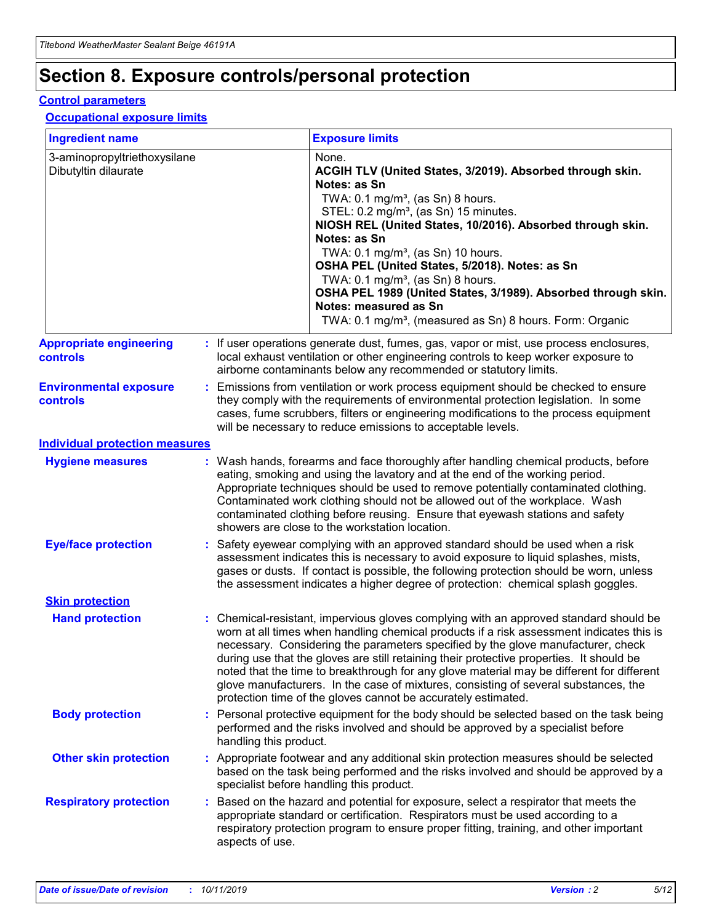# **Section 8. Exposure controls/personal protection**

### **Control parameters**

## **Occupational exposure limits**

| <b>Ingredient name</b>                               |    |                        | <b>Exposure limits</b>                                                                                                                                                                                                                                                                                                                                                                                                                                                                                                                                                                                                 |
|------------------------------------------------------|----|------------------------|------------------------------------------------------------------------------------------------------------------------------------------------------------------------------------------------------------------------------------------------------------------------------------------------------------------------------------------------------------------------------------------------------------------------------------------------------------------------------------------------------------------------------------------------------------------------------------------------------------------------|
| 3-aminopropyltriethoxysilane<br>Dibutyltin dilaurate |    |                        | None.<br>ACGIH TLV (United States, 3/2019). Absorbed through skin.<br>Notes: as Sn<br>TWA: $0.1 \text{ mg/m}^3$ , (as Sn) 8 hours.<br>STEL: 0.2 mg/m <sup>3</sup> , (as Sn) 15 minutes.<br>NIOSH REL (United States, 10/2016). Absorbed through skin.<br>Notes: as Sn<br>TWA: 0.1 mg/m <sup>3</sup> , (as Sn) 10 hours.<br>OSHA PEL (United States, 5/2018). Notes: as Sn<br>TWA: $0.1 \text{ mg/m}^3$ , (as Sn) 8 hours.<br>OSHA PEL 1989 (United States, 3/1989). Absorbed through skin.<br>Notes: measured as Sn<br>TWA: 0.1 mg/m <sup>3</sup> , (measured as Sn) 8 hours. Form: Organic                            |
| <b>Appropriate engineering</b><br>controls           |    |                        | : If user operations generate dust, fumes, gas, vapor or mist, use process enclosures,<br>local exhaust ventilation or other engineering controls to keep worker exposure to<br>airborne contaminants below any recommended or statutory limits.                                                                                                                                                                                                                                                                                                                                                                       |
| <b>Environmental exposure</b><br>controls            |    |                        | Emissions from ventilation or work process equipment should be checked to ensure<br>they comply with the requirements of environmental protection legislation. In some<br>cases, fume scrubbers, filters or engineering modifications to the process equipment<br>will be necessary to reduce emissions to acceptable levels.                                                                                                                                                                                                                                                                                          |
| <b>Individual protection measures</b>                |    |                        |                                                                                                                                                                                                                                                                                                                                                                                                                                                                                                                                                                                                                        |
| <b>Hygiene measures</b>                              |    |                        | : Wash hands, forearms and face thoroughly after handling chemical products, before<br>eating, smoking and using the lavatory and at the end of the working period.<br>Appropriate techniques should be used to remove potentially contaminated clothing.<br>Contaminated work clothing should not be allowed out of the workplace. Wash<br>contaminated clothing before reusing. Ensure that eyewash stations and safety<br>showers are close to the workstation location.                                                                                                                                            |
| <b>Eye/face protection</b>                           |    |                        | : Safety eyewear complying with an approved standard should be used when a risk<br>assessment indicates this is necessary to avoid exposure to liquid splashes, mists,<br>gases or dusts. If contact is possible, the following protection should be worn, unless<br>the assessment indicates a higher degree of protection: chemical splash goggles.                                                                                                                                                                                                                                                                  |
| <b>Skin protection</b>                               |    |                        |                                                                                                                                                                                                                                                                                                                                                                                                                                                                                                                                                                                                                        |
| <b>Hand protection</b>                               |    |                        | : Chemical-resistant, impervious gloves complying with an approved standard should be<br>worn at all times when handling chemical products if a risk assessment indicates this is<br>necessary. Considering the parameters specified by the glove manufacturer, check<br>during use that the gloves are still retaining their protective properties. It should be<br>noted that the time to breakthrough for any glove material may be different for different<br>glove manufacturers. In the case of mixtures, consisting of several substances, the<br>protection time of the gloves cannot be accurately estimated. |
| <b>Body protection</b>                               |    | handling this product. | Personal protective equipment for the body should be selected based on the task being<br>performed and the risks involved and should be approved by a specialist before                                                                                                                                                                                                                                                                                                                                                                                                                                                |
| <b>Other skin protection</b>                         |    |                        | : Appropriate footwear and any additional skin protection measures should be selected<br>based on the task being performed and the risks involved and should be approved by a<br>specialist before handling this product.                                                                                                                                                                                                                                                                                                                                                                                              |
| <b>Respiratory protection</b>                        | ÷. | aspects of use.        | Based on the hazard and potential for exposure, select a respirator that meets the<br>appropriate standard or certification. Respirators must be used according to a<br>respiratory protection program to ensure proper fitting, training, and other important                                                                                                                                                                                                                                                                                                                                                         |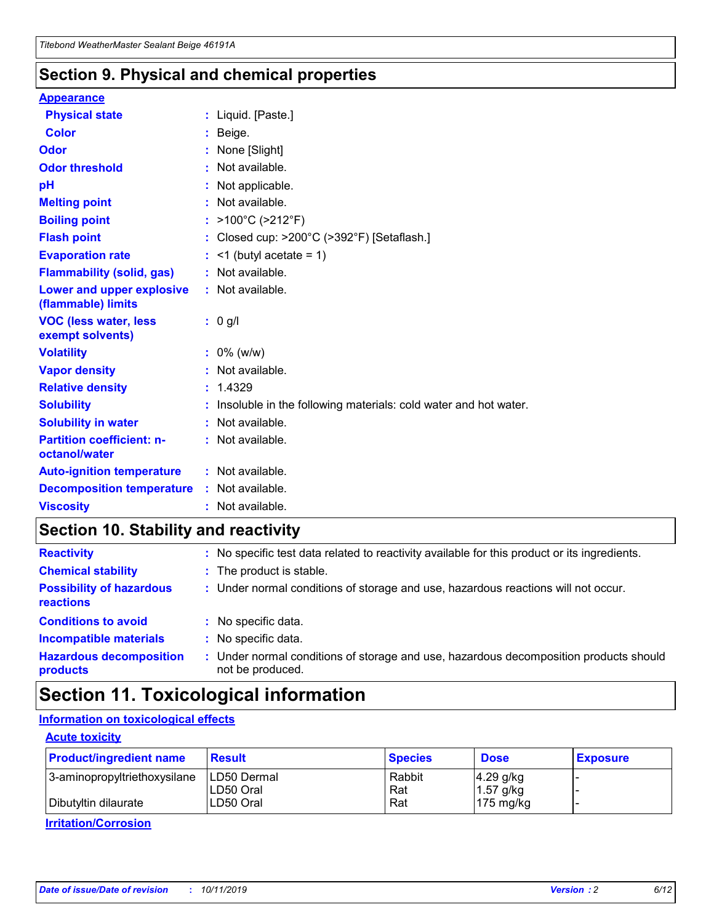# **Section 9. Physical and chemical properties**

#### **Appearance**

| <b>Physical state</b>                                  | : Liquid. [Paste.]                                              |
|--------------------------------------------------------|-----------------------------------------------------------------|
| <b>Color</b>                                           | Beige.                                                          |
| Odor                                                   | None [Slight]                                                   |
| <b>Odor threshold</b>                                  | $:$ Not available.                                              |
| рH                                                     | : Not applicable.                                               |
| <b>Melting point</b>                                   | : Not available.                                                |
| <b>Boiling point</b>                                   | : >100°C (>212°F)                                               |
| <b>Flash point</b>                                     | : Closed cup: >200°C (>392°F) [Setaflash.]                      |
| <b>Evaporation rate</b>                                | $:$ <1 (butyl acetate = 1)                                      |
| <b>Flammability (solid, gas)</b>                       | : Not available.                                                |
| <b>Lower and upper explosive</b><br>(flammable) limits | : Not available.                                                |
| <b>VOC (less water, less</b><br>exempt solvents)       | $: 0$ g/l                                                       |
| <b>Volatility</b>                                      | $: 0\%$ (w/w)                                                   |
| <b>Vapor density</b>                                   | : Not available.                                                |
| <b>Relative density</b>                                | : 1.4329                                                        |
| <b>Solubility</b>                                      | Insoluble in the following materials: cold water and hot water. |
| <b>Solubility in water</b>                             | : Not available.                                                |
| <b>Partition coefficient: n-</b><br>octanol/water      | : Not available.                                                |
|                                                        |                                                                 |
| <b>Auto-ignition temperature</b>                       | : Not available.                                                |
| <b>Decomposition temperature</b>                       | : Not available.                                                |

# **Section 10. Stability and reactivity**

| <b>Reactivity</b>                            |    | : No specific test data related to reactivity available for this product or its ingredients.            |
|----------------------------------------------|----|---------------------------------------------------------------------------------------------------------|
| <b>Chemical stability</b>                    |    | : The product is stable.                                                                                |
| <b>Possibility of hazardous</b><br>reactions |    | : Under normal conditions of storage and use, hazardous reactions will not occur.                       |
| <b>Conditions to avoid</b>                   |    | : No specific data.                                                                                     |
| <b>Incompatible materials</b>                | ٠. | No specific data.                                                                                       |
| <b>Hazardous decomposition</b><br>products   | ÷. | Under normal conditions of storage and use, hazardous decomposition products should<br>not be produced. |

# **Section 11. Toxicological information**

## **Information on toxicological effects**

## **Acute toxicity**

| <b>Product/ingredient name</b> | <b>Result</b>           | <b>Species</b> | <b>Dose</b>                | <b>Exposure</b> |
|--------------------------------|-------------------------|----------------|----------------------------|-----------------|
| 3-aminopropyltriethoxysilane   | <b>ILD50 Dermal</b>     | Rabbit         | 4.29 g/kg                  |                 |
| Dibutyltin dilaurate           | ILD50 Oral<br>LD50 Oral | Rat<br>Rat     | $1.57$ g/kg<br>175 $mg/kg$ |                 |
|                                |                         |                |                            |                 |

**Irritation/Corrosion**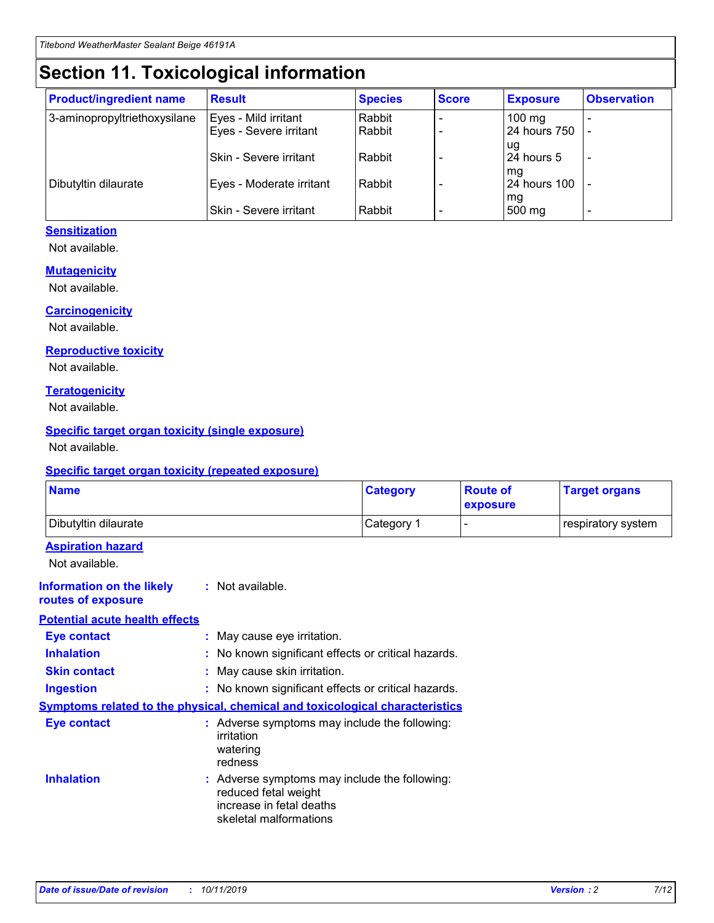# **Section 11. Toxicological information**

| <b>Product/ingredient name</b> | <b>Result</b>            | <b>Species</b> | <b>Score</b> | <b>Exposure</b>     | <b>Observation</b> |
|--------------------------------|--------------------------|----------------|--------------|---------------------|--------------------|
| 3-aminopropyltriethoxysilane   | Eyes - Mild irritant     | Rabbit         |              | $100 \text{ mg}$    |                    |
|                                | Eyes - Severe irritant   | Rabbit         |              | 24 hours 750        |                    |
|                                |                          |                |              | ug                  |                    |
|                                | Skin - Severe irritant   | Rabbit         |              | 24 hours 5          |                    |
|                                |                          |                |              | mq                  |                    |
| Dibutyltin dilaurate           | Eyes - Moderate irritant | Rabbit         |              | <b>24 hours 100</b> |                    |
|                                | Skin - Severe irritant   | Rabbit         |              | mg<br>500 mg        |                    |
|                                |                          |                |              |                     |                    |

## **Sensitization**

Not available.

## **Mutagenicity**

Not available.

#### **Carcinogenicity**

Not available.

#### **Reproductive toxicity**

Not available.

#### **Teratogenicity**

Not available.

### **Specific target organ toxicity (single exposure)**

Not available.

#### **Specific target organ toxicity (repeated exposure)**

| <b>Name</b>                                                                  |                                                                                                                             | <b>Category</b> | <b>Route of</b><br>exposure  | <b>Target organs</b> |
|------------------------------------------------------------------------------|-----------------------------------------------------------------------------------------------------------------------------|-----------------|------------------------------|----------------------|
| Dibutyltin dilaurate                                                         |                                                                                                                             | Category 1      | $\qquad \qquad \blacksquare$ | respiratory system   |
| <b>Aspiration hazard</b><br>Not available.                                   |                                                                                                                             |                 |                              |                      |
| <b>Information on the likely</b><br>routes of exposure                       | : Not available.                                                                                                            |                 |                              |                      |
| <b>Potential acute health effects</b>                                        |                                                                                                                             |                 |                              |                      |
| <b>Eye contact</b>                                                           | : May cause eye irritation.                                                                                                 |                 |                              |                      |
| <b>Inhalation</b>                                                            | : No known significant effects or critical hazards.                                                                         |                 |                              |                      |
| <b>Skin contact</b>                                                          | : May cause skin irritation.                                                                                                |                 |                              |                      |
| <b>Ingestion</b>                                                             | : No known significant effects or critical hazards.                                                                         |                 |                              |                      |
| Symptoms related to the physical, chemical and toxicological characteristics |                                                                                                                             |                 |                              |                      |
| <b>Eye contact</b>                                                           | : Adverse symptoms may include the following:<br>irritation<br>watering<br>redness                                          |                 |                              |                      |
| <b>Inhalation</b>                                                            | : Adverse symptoms may include the following:<br>reduced fetal weight<br>increase in fetal deaths<br>skeletal malformations |                 |                              |                      |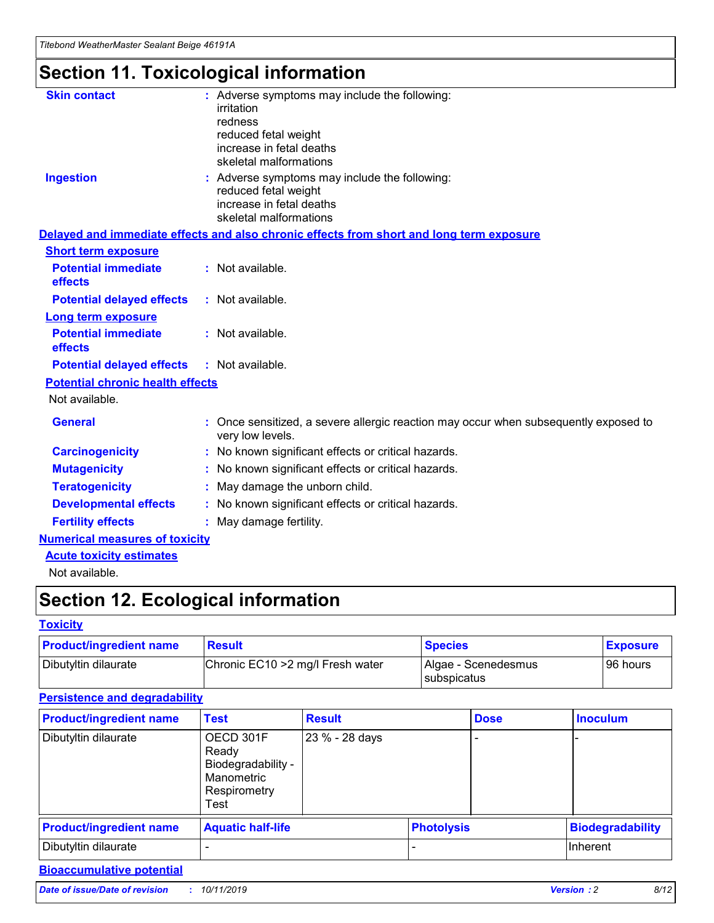# **Section 11. Toxicological information**

| <b>Skin contact</b>                     | : Adverse symptoms may include the following:<br>irritation<br>redness<br>reduced fetal weight<br>increase in fetal deaths<br>skeletal malformations |
|-----------------------------------------|------------------------------------------------------------------------------------------------------------------------------------------------------|
| <b>Ingestion</b>                        | : Adverse symptoms may include the following:<br>reduced fetal weight<br>increase in fetal deaths<br>skeletal malformations                          |
|                                         | Delayed and immediate effects and also chronic effects from short and long term exposure                                                             |
| <b>Short term exposure</b>              |                                                                                                                                                      |
| <b>Potential immediate</b><br>effects   | : Not available.                                                                                                                                     |
| <b>Potential delayed effects</b>        | : Not available.                                                                                                                                     |
| <b>Long term exposure</b>               |                                                                                                                                                      |
| <b>Potential immediate</b><br>effects   | : Not available.                                                                                                                                     |
| <b>Potential delayed effects</b>        | : Not available.                                                                                                                                     |
| <b>Potential chronic health effects</b> |                                                                                                                                                      |
| Not available.                          |                                                                                                                                                      |
| <b>General</b>                          | : Once sensitized, a severe allergic reaction may occur when subsequently exposed to<br>very low levels.                                             |
| <b>Carcinogenicity</b>                  | : No known significant effects or critical hazards.                                                                                                  |
| <b>Mutagenicity</b>                     | No known significant effects or critical hazards.                                                                                                    |
| <b>Teratogenicity</b>                   | May damage the unborn child.                                                                                                                         |
| <b>Developmental effects</b>            | : No known significant effects or critical hazards.                                                                                                  |
| <b>Fertility effects</b>                | : May damage fertility.                                                                                                                              |
| <b>Numerical measures of toxicity</b>   |                                                                                                                                                      |
| <b>Acute toxicity estimates</b>         |                                                                                                                                                      |
| .                                       |                                                                                                                                                      |

Not available.

# **Section 12. Ecological information**

## **Toxicity**

| <b>Product/ingredient name</b> | <b>Result</b>                     | <b>Species</b>                            | <b>Exposure</b> |
|--------------------------------|-----------------------------------|-------------------------------------------|-----------------|
| Dibutyltin dilaurate           | Chronic EC10 > 2 mg/l Fresh water | Algae - Scenedesmus<br><b>Subspicatus</b> | l 96 hours      |

## **Persistence and degradability**

| <b>Product/ingredient name</b> | Test                                                                           | <b>Result</b>  |                   | <b>Dose</b> | <b>Inoculum</b>         |
|--------------------------------|--------------------------------------------------------------------------------|----------------|-------------------|-------------|-------------------------|
| Dibutyltin dilaurate           | OECD 301F<br>Ready<br>Biodegradability -<br>Manometric<br>Respirometry<br>Test | 23 % - 28 days |                   |             |                         |
| <b>Product/ingredient name</b> | <b>Aquatic half-life</b>                                                       |                | <b>Photolysis</b> |             | <b>Biodegradability</b> |
| Dibutyltin dilaurate           |                                                                                |                |                   |             | Inherent                |

## **Bioaccumulative potential**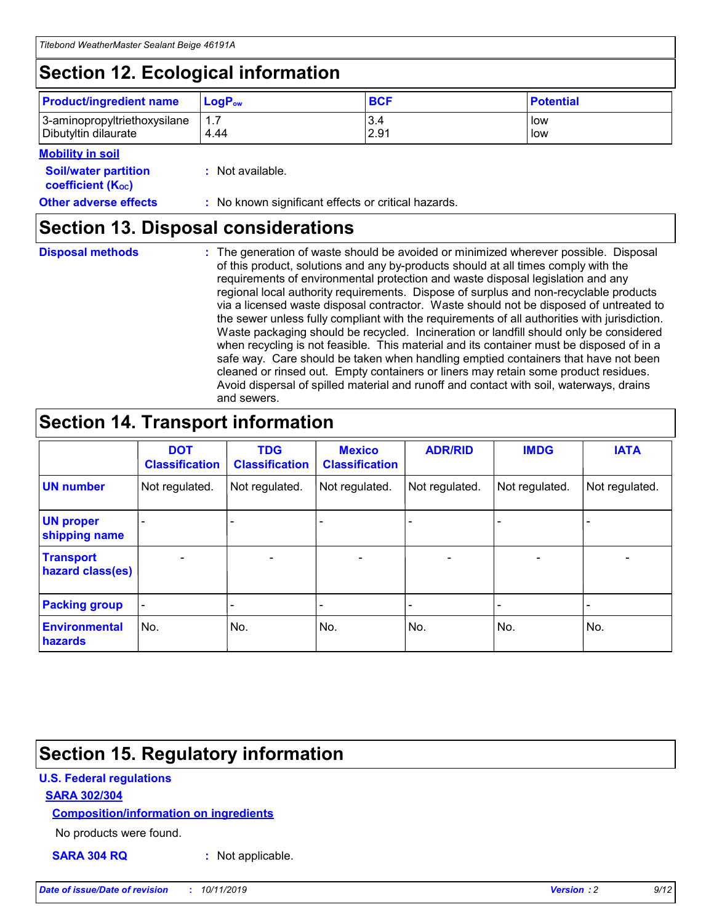# **Section 12. Ecological information**

| <b>Product/ingredient name</b> | $LoaPow$ | <b>BCF</b> | <b>Potential</b> |
|--------------------------------|----------|------------|------------------|
| 3-aminopropyltriethoxysilane   | 1.7      | 3.4        | low              |
| Dibutyltin dilaurate           | 4.44     | 2.91       | low              |

## **Mobility in soil**

| <i></i>                                                       |                                                     |
|---------------------------------------------------------------|-----------------------------------------------------|
| <b>Soil/water partition</b><br>coefficient (K <sub>oc</sub> ) | : Not available.                                    |
| <b>Other adverse effects</b>                                  | : No known significant effects or critical hazards. |

# **Section 13. Disposal considerations**

**Disposal methods :**

The generation of waste should be avoided or minimized wherever possible. Disposal of this product, solutions and any by-products should at all times comply with the requirements of environmental protection and waste disposal legislation and any regional local authority requirements. Dispose of surplus and non-recyclable products via a licensed waste disposal contractor. Waste should not be disposed of untreated to the sewer unless fully compliant with the requirements of all authorities with jurisdiction. Waste packaging should be recycled. Incineration or landfill should only be considered when recycling is not feasible. This material and its container must be disposed of in a safe way. Care should be taken when handling emptied containers that have not been cleaned or rinsed out. Empty containers or liners may retain some product residues. Avoid dispersal of spilled material and runoff and contact with soil, waterways, drains and sewers.

# **Section 14. Transport information**

|                                      | <b>DOT</b><br><b>Classification</b> | <b>TDG</b><br><b>Classification</b> | <b>Mexico</b><br><b>Classification</b> | <b>ADR/RID</b>           | <b>IMDG</b>     | <b>IATA</b>              |
|--------------------------------------|-------------------------------------|-------------------------------------|----------------------------------------|--------------------------|-----------------|--------------------------|
| <b>UN number</b>                     | Not regulated.                      | Not regulated.                      | Not regulated.                         | Not regulated.           | Not regulated.  | Not regulated.           |
| <b>UN proper</b><br>shipping name    | $\qquad \qquad$                     |                                     |                                        |                          |                 |                          |
| <b>Transport</b><br>hazard class(es) | $\overline{\phantom{m}}$            | $\qquad \qquad$                     | $\qquad \qquad$                        | $\overline{\phantom{a}}$ | $\qquad \qquad$ | $\overline{\phantom{0}}$ |
| <b>Packing group</b>                 | $\overline{\phantom{a}}$            | -                                   |                                        |                          |                 |                          |
| <b>Environmental</b><br>hazards      | No.                                 | No.                                 | No.                                    | No.                      | No.             | No.                      |

# **Section 15. Regulatory information**

## **U.S. Federal regulations**

## **SARA 302/304**

## **Composition/information on ingredients**

No products were found.

**SARA 304 RQ :** Not applicable.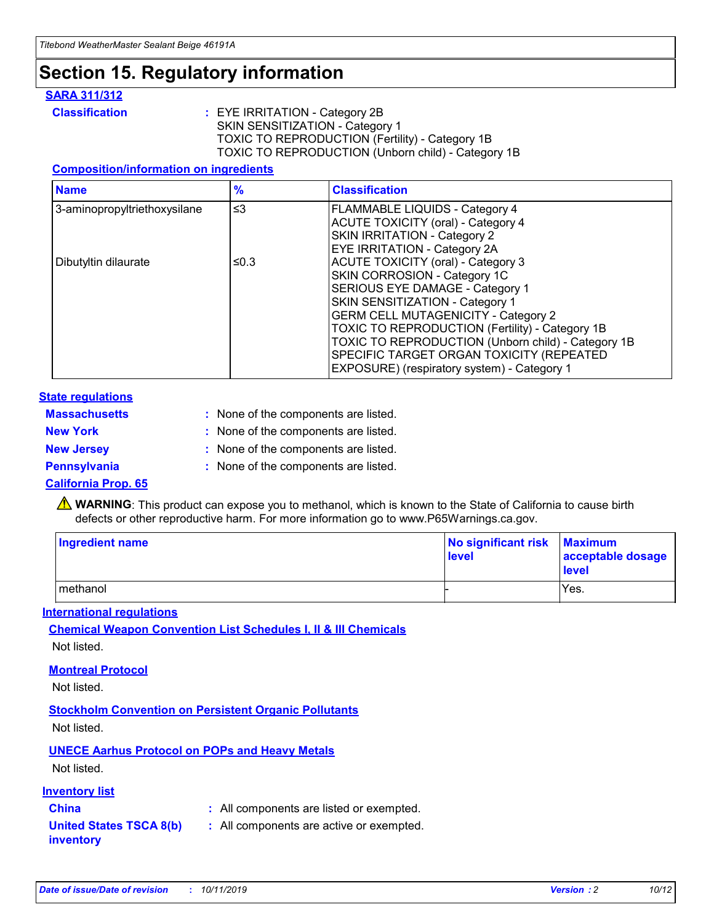# **Section 15. Regulatory information**

## **SARA 311/312**

**Classification :** EYE IRRITATION - Category 2B SKIN SENSITIZATION - Category 1 TOXIC TO REPRODUCTION (Fertility) - Category 1B TOXIC TO REPRODUCTION (Unborn child) - Category 1B

## **Composition/information on ingredients**

| <b>Name</b>                  | $\frac{9}{6}$ | <b>Classification</b>                                                                                            |
|------------------------------|---------------|------------------------------------------------------------------------------------------------------------------|
| 3-aminopropyltriethoxysilane | $\leq$ 3      | <b>FLAMMABLE LIQUIDS - Category 4</b><br><b>ACUTE TOXICITY (oral) - Category 4</b>                               |
|                              |               | SKIN IRRITATION - Category 2<br>EYE IRRITATION - Category 2A                                                     |
| Dibutyltin dilaurate         | ≤0.3          | ACUTE TOXICITY (oral) - Category 3<br>SKIN CORROSION - Category 1C                                               |
|                              |               | SERIOUS EYE DAMAGE - Category 1<br>SKIN SENSITIZATION - Category 1<br><b>GERM CELL MUTAGENICITY - Category 2</b> |
|                              |               | TOXIC TO REPRODUCTION (Fertility) - Category 1B<br>TOXIC TO REPRODUCTION (Unborn child) - Category 1B            |
|                              |               | SPECIFIC TARGET ORGAN TOXICITY (REPEATED<br>EXPOSURE) (respiratory system) - Category 1                          |

### **State regulations**

| <b>Massachusetts</b> | : None of the components are listed. |
|----------------------|--------------------------------------|
| <b>New York</b>      | : None of the components are listed. |
| <b>New Jersey</b>    | : None of the components are listed. |
| <b>Pennsylvania</b>  | : None of the components are listed. |

### **California Prop. 65**

**A** WARNING: This product can expose you to methanol, which is known to the State of California to cause birth defects or other reproductive harm. For more information go to www.P65Warnings.ca.gov.

| <b>Ingredient name</b> | No significant risk Maximum<br>level | acceptable dosage<br>level |
|------------------------|--------------------------------------|----------------------------|
| methanol               |                                      | Yes.                       |

### **International regulations**

**Chemical Weapon Convention List Schedules I, II & III Chemicals** Not listed.

### **Montreal Protocol**

Not listed.

### **Stockholm Convention on Persistent Organic Pollutants**

Not listed.

## **UNECE Aarhus Protocol on POPs and Heavy Metals**

Not listed.

## **Inventory list**

# **China :** All components are listed or exempted.

#### **United States TSCA 8(b) inventory :** All components are active or exempted.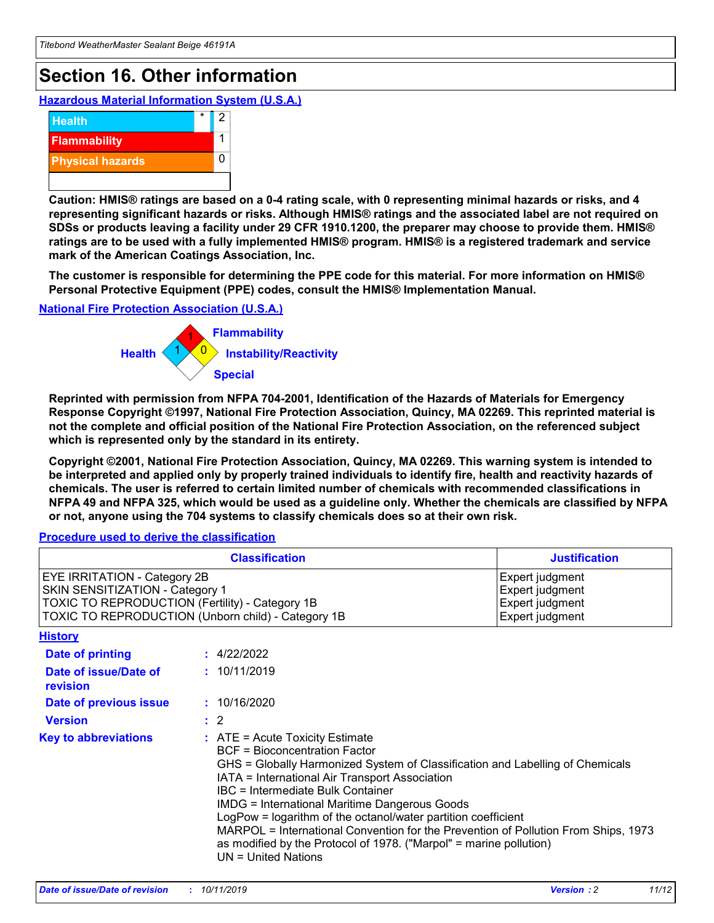# **Section 16. Other information**

**Hazardous Material Information System (U.S.A.)**



**Caution: HMIS® ratings are based on a 0-4 rating scale, with 0 representing minimal hazards or risks, and 4 representing significant hazards or risks. Although HMIS® ratings and the associated label are not required on SDSs or products leaving a facility under 29 CFR 1910.1200, the preparer may choose to provide them. HMIS® ratings are to be used with a fully implemented HMIS® program. HMIS® is a registered trademark and service mark of the American Coatings Association, Inc.**

**The customer is responsible for determining the PPE code for this material. For more information on HMIS® Personal Protective Equipment (PPE) codes, consult the HMIS® Implementation Manual.**

#### **National Fire Protection Association (U.S.A.)**



**Reprinted with permission from NFPA 704-2001, Identification of the Hazards of Materials for Emergency Response Copyright ©1997, National Fire Protection Association, Quincy, MA 02269. This reprinted material is not the complete and official position of the National Fire Protection Association, on the referenced subject which is represented only by the standard in its entirety.**

**Copyright ©2001, National Fire Protection Association, Quincy, MA 02269. This warning system is intended to be interpreted and applied only by properly trained individuals to identify fire, health and reactivity hazards of chemicals. The user is referred to certain limited number of chemicals with recommended classifications in NFPA 49 and NFPA 325, which would be used as a guideline only. Whether the chemicals are classified by NFPA or not, anyone using the 704 systems to classify chemicals does so at their own risk.**

#### **Procedure used to derive the classification**

| <b>Classification</b>                                                                                                                                                    |                                                                                                                                                                                                                                                                                                                                                                                                                                                                                                                                                               | <b>Justification</b>                                                     |
|--------------------------------------------------------------------------------------------------------------------------------------------------------------------------|---------------------------------------------------------------------------------------------------------------------------------------------------------------------------------------------------------------------------------------------------------------------------------------------------------------------------------------------------------------------------------------------------------------------------------------------------------------------------------------------------------------------------------------------------------------|--------------------------------------------------------------------------|
| EYE IRRITATION - Category 2B<br>SKIN SENSITIZATION - Category 1<br>TOXIC TO REPRODUCTION (Fertility) - Category 1B<br>TOXIC TO REPRODUCTION (Unborn child) - Category 1B |                                                                                                                                                                                                                                                                                                                                                                                                                                                                                                                                                               | Expert judgment<br>Expert judgment<br>Expert judgment<br>Expert judgment |
| <b>History</b>                                                                                                                                                           |                                                                                                                                                                                                                                                                                                                                                                                                                                                                                                                                                               |                                                                          |
| <b>Date of printing</b>                                                                                                                                                  | : 4/22/2022                                                                                                                                                                                                                                                                                                                                                                                                                                                                                                                                                   |                                                                          |
| Date of issue/Date of<br>revision                                                                                                                                        | : 10/11/2019                                                                                                                                                                                                                                                                                                                                                                                                                                                                                                                                                  |                                                                          |
| Date of previous issue                                                                                                                                                   | : 10/16/2020                                                                                                                                                                                                                                                                                                                                                                                                                                                                                                                                                  |                                                                          |
| <b>Version</b>                                                                                                                                                           | $\therefore$ 2                                                                                                                                                                                                                                                                                                                                                                                                                                                                                                                                                |                                                                          |
| <b>Key to abbreviations</b>                                                                                                                                              | $:$ ATE = Acute Toxicity Estimate<br><b>BCF</b> = Bioconcentration Factor<br>GHS = Globally Harmonized System of Classification and Labelling of Chemicals<br>IATA = International Air Transport Association<br>IBC = Intermediate Bulk Container<br><b>IMDG = International Maritime Dangerous Goods</b><br>LogPow = logarithm of the octanol/water partition coefficient<br>MARPOL = International Convention for the Prevention of Pollution From Ships, 1973<br>as modified by the Protocol of 1978. ("Marpol" = marine pollution)<br>UN = United Nations |                                                                          |